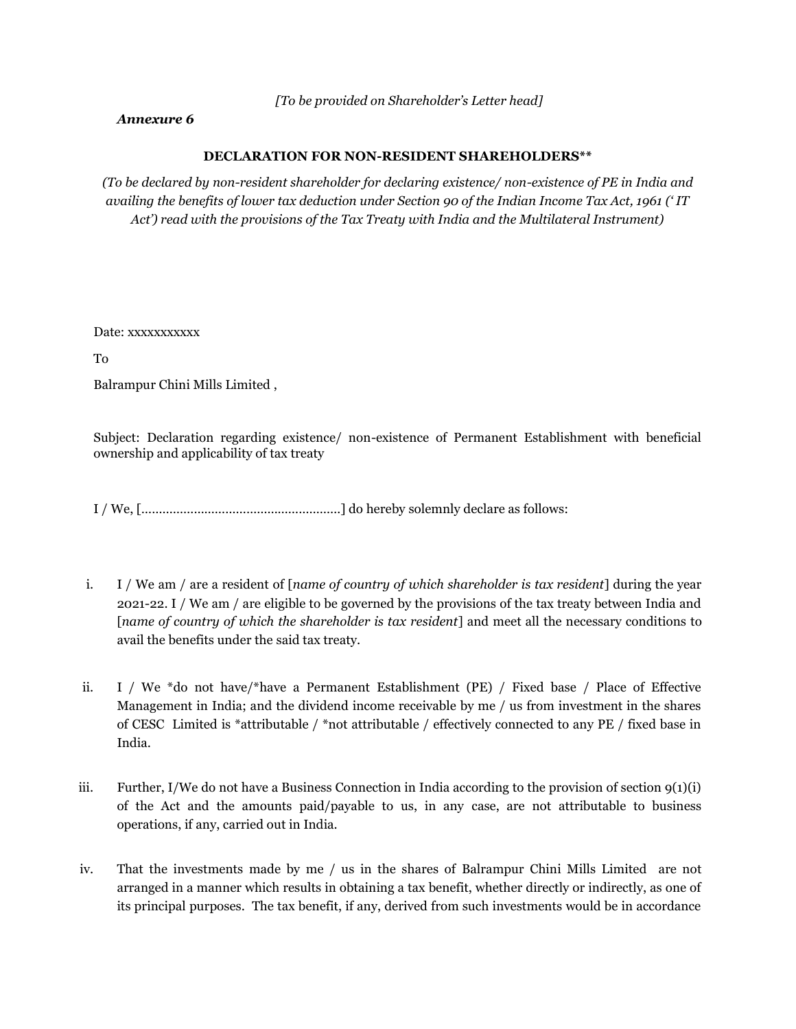*[To be provided on Shareholder's Letter head]*

# *Annexure 6*

### **DECLARATION FOR NON-RESIDENT SHAREHOLDERS\*\***

*(To be declared by non-resident shareholder for declaring existence/ non-existence of PE in India and availing the benefits of lower tax deduction under Section 90 of the Indian Income Tax Act, 1961 (' IT Act') read with the provisions of the Tax Treaty with India and the Multilateral Instrument)*

Date: xxxxxxxxxxx

To

Balrampur Chini Mills Limited ,

Subject: Declaration regarding existence/ non-existence of Permanent Establishment with beneficial ownership and applicability of tax treaty

I / We, […………………………………………………] do hereby solemnly declare as follows:

- i. I / We am / are a resident of [*name of country of which shareholder is tax resident*] during the year 2021-22. I / We am / are eligible to be governed by the provisions of the tax treaty between India and [*name of country of which the shareholder is tax resident*] and meet all the necessary conditions to avail the benefits under the said tax treaty.
- ii. I / We \*do not have/\*have a Permanent Establishment (PE) / Fixed base / Place of Effective Management in India; and the dividend income receivable by me / us from investment in the shares of CESC Limited is \*attributable / \*not attributable / effectively connected to any PE / fixed base in India.
- iii. Further, I/We do not have a Business Connection in India according to the provision of section  $q(1)(i)$ of the Act and the amounts paid/payable to us, in any case, are not attributable to business operations, if any, carried out in India.
- iv. That the investments made by me / us in the shares of Balrampur Chini Mills Limited are not arranged in a manner which results in obtaining a tax benefit, whether directly or indirectly, as one of its principal purposes. The tax benefit, if any, derived from such investments would be in accordance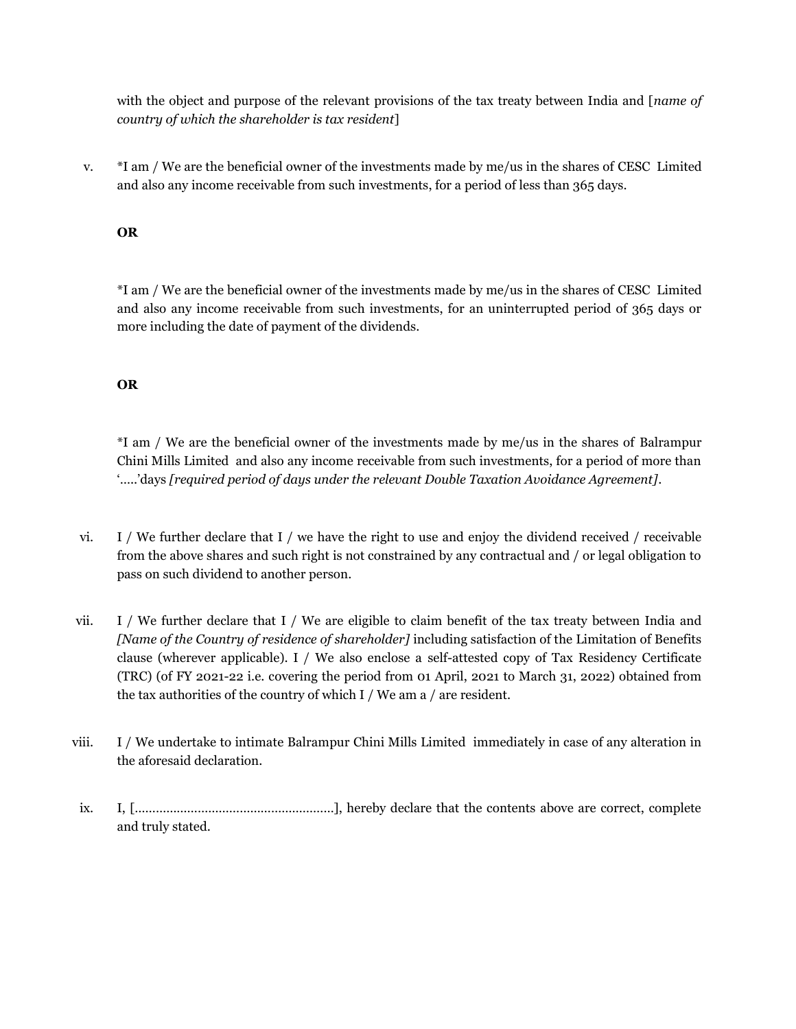with the object and purpose of the relevant provisions of the tax treaty between India and [*name of country of which the shareholder is tax resident*]

v. \*I am / We are the beneficial owner of the investments made by me/us in the shares of CESC Limited and also any income receivable from such investments, for a period of less than 365 days.

# **OR**

\*I am / We are the beneficial owner of the investments made by me/us in the shares of CESC Limited and also any income receivable from such investments, for an uninterrupted period of 365 days or more including the date of payment of the dividends.

# **OR**

\*I am / We are the beneficial owner of the investments made by me/us in the shares of Balrampur Chini Mills Limited and also any income receivable from such investments, for a period of more than '…..'days *[required period of days under the relevant Double Taxation Avoidance Agreement]*.

- vi. I / We further declare that I / we have the right to use and enjoy the dividend received / receivable from the above shares and such right is not constrained by any contractual and / or legal obligation to pass on such dividend to another person.
- vii. I / We further declare that I / We are eligible to claim benefit of the tax treaty between India and *[Name of the Country of residence of shareholder]* including satisfaction of the Limitation of Benefits clause (wherever applicable). I / We also enclose a self-attested copy of Tax Residency Certificate (TRC) (of FY 2021-22 i.e. covering the period from 01 April, 2021 to March 31, 2022) obtained from the tax authorities of the country of which I / We am a / are resident.
- viii. I / We undertake to intimate Balrampur Chini Mills Limited immediately in case of any alteration in the aforesaid declaration.
- ix. I, […………………………………………………], hereby declare that the contents above are correct, complete and truly stated.